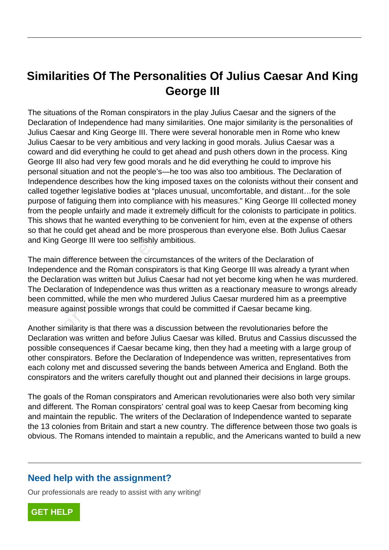## **Similarities Of The Personalities Of Julius Caesar And King George III**

The situations of the Roman conspirators in the play Julius Caesar and the signers of the Declaration of Independence had many similarities. One major similarity is the personalities of Julius Caesar and King George III. There were several honorable men in Rome who knew Julius Caesar to be very ambitious and very lacking in good morals. Julius Caesar was a coward and did everything he could to get ahead and push others down in the process. King George III also had very few good morals and he did everything he could to improve his personal situation and not the people's—he too was also too ambitious. The Declaration of Independence describes how the king imposed taxes on the colonists without their consent and called together legislative bodies at "places unusual, uncomfortable, and distant…for the sole purpose of fatiguing them into compliance with his measures." King George III collected money from the people unfairly and made it extremely difficult for the colonists to participate in politics. This shows that he wanted everything to be convenient for him, even at the expense of others so that he could get ahead and be more prosperous than everyone else. Both Julius Caesar and King George III were too selfishly ambitious.

The main difference between the circumstances of the writers of the Declaration of Independence and the Roman conspirators is that King George III was already a tyrant when the Declaration was written but Julius Caesar had not yet become king when he was murdered. The Declaration of Independence was thus written as a reactionary measure to wrongs already been committed, while the men who murdered Julius Caesar murdered him as a preemptive measure against possible wrongs that could be committed if Caesar became king. radiging them into compliance with incomplementative and the wanted everything to be conveould get ahead and be more prospered beorge III were too selfishly ambitious.<br>difference between the circumstances and the Roman con

Another similarity is that there was a discussion between the revolutionaries before the Declaration was written and before Julius Caesar was killed. Brutus and Cassius discussed the possible consequences if Caesar became king, then they had a meeting with a large group of other conspirators. Before the Declaration of Independence was written, representatives from each colony met and discussed severing the bands between America and England. Both the conspirators and the writers carefully thought out and planned their decisions in large groups.

The goals of the Roman conspirators and American revolutionaries were also both very similar and different. The Roman conspirators' central goal was to keep Caesar from becoming king and maintain the republic. The writers of the Declaration of Independence wanted to separate the 13 colonies from Britain and start a new country. The difference between those two goals is obvious. The Romans intended to maintain a republic, and the Americans wanted to build a new

## **Need help with the assignment?**

Our professionals are ready to assist with any writing!

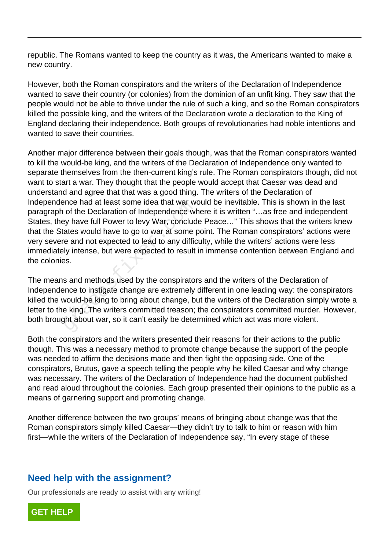republic. The Romans wanted to keep the country as it was, the Americans wanted to make a new country.

However, both the Roman conspirators and the writers of the Declaration of Independence wanted to save their country (or colonies) from the dominion of an unfit king. They saw that the people would not be able to thrive under the rule of such a king, and so the Roman conspirators killed the possible king, and the writers of the Declaration wrote a declaration to the King of England declaring their independence. Both groups of revolutionaries had noble intentions and wanted to save their countries.

Another major difference between their goals though, was that the Roman conspirators wanted to kill the would-be king, and the writers of the Declaration of Independence only wanted to separate themselves from the then-current king's rule. The Roman conspirators though, did not want to start a war. They thought that the people would accept that Caesar was dead and understand and agree that that was a good thing. The writers of the Declaration of Independence had at least some idea that war would be inevitable. This is shown in the last paragraph of the Declaration of Independence where it is written "…as free and independent States, they have full Power to levy War, conclude Peace…" This shows that the writers knew that the States would have to go to war at some point. The Roman conspirators' actions were very severe and not expected to lead to any difficulty, while the writers' actions were less immediately intense, but were expected to result in immense contention between England and the colonies. Frice had at least some idea that war wise<br>of the Declaration of Independence whey have full Power to levy War, conclud<br>ates would have to go to war at some p<br>e and not expected to lead to any diffic<br>ly intense, but were e

The means and methods used by the conspirators and the writers of the Declaration of Independence to instigate change are extremely different in one leading way: the conspirators killed the would-be king to bring about change, but the writers of the Declaration simply wrote a letter to the king. The writers committed treason; the conspirators committed murder. However, both brought about war, so it can't easily be determined which act was more violent.

Both the conspirators and the writers presented their reasons for their actions to the public though. This was a necessary method to promote change because the support of the people was needed to affirm the decisions made and then fight the opposing side. One of the conspirators, Brutus, gave a speech telling the people why he killed Caesar and why change was necessary. The writers of the Declaration of Independence had the document published and read aloud throughout the colonies. Each group presented their opinions to the public as a means of garnering support and promoting change.

Another difference between the two groups' means of bringing about change was that the Roman conspirators simply killed Caesar—they didn't try to talk to him or reason with him first—while the writers of the Declaration of Independence say, "In every stage of these

## **Need help with the assignment?**

Our professionals are ready to assist with any writing!